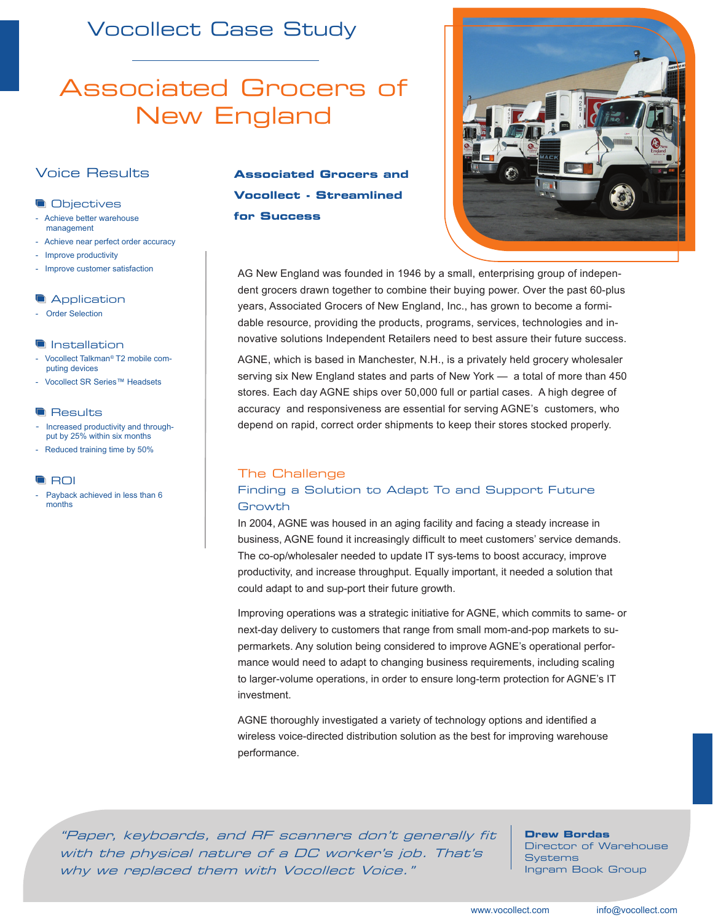## Vocollect Case Study

# Associated Grocers of New England

### Voice Results

### **Objectives**

- Achieve better warehouse management
- Achieve near perfect order accuracy
- Improve productivity
- Improve customer satisfaction

### **Application**

- Order Selection

### **Installation**

- Vocollect Talkman*®* T2 mobile computing devices
- Vocollect SR Series™ Headsets

### **Results**

- Increased productivity and throughput by 25% within six months
- Reduced training time by 50%

### **ROI**

Payback achieved in less than 6 months

### **Associated Grocers and Vocollect - Streamlined for Success**



AG New England was founded in 1946 by a small, enterprising group of independent grocers drawn together to combine their buying power. Over the past 60-plus years, Associated Grocers of New England, Inc., has grown to become a formidable resource, providing the products, programs, services, technologies and innovative solutions Independent Retailers need to best assure their future success.

AGNE, which is based in Manchester, N.H., is a privately held grocery wholesaler serving six New England states and parts of New York — a total of more than 450 stores. Each day AGNE ships over 50,000 full or partial cases. A high degree of accuracy and responsiveness are essential for serving AGNE's customers, who depend on rapid, correct order shipments to keep their stores stocked properly.

### The Challenge

### Finding a Solution to Adapt To and Support Future Growth

In 2004, AGNE was housed in an aging facility and facing a steady increase in business, AGNE found it increasingly difficult to meet customers' service demands. The co-op/wholesaler needed to update IT sys-tems to boost accuracy, improve productivity, and increase throughput. Equally important, it needed a solution that could adapt to and sup-port their future growth.

Improving operations was a strategic initiative for AGNE, which commits to same- or next-day delivery to customers that range from small mom-and-pop markets to supermarkets. Any solution being considered to improve AGNE's operational performance would need to adapt to changing business requirements, including scaling to larger-volume operations, in order to ensure long-term protection for AGNE's IT investment.

AGNE thoroughly investigated a variety of technology options and identified a wireless voice-directed distribution solution as the best for improving warehouse performance.

"Paper, keyboards, and RF scanners don't generally fit with the physical nature of a DC worker's job. That's why we replaced them with Vocollect Voice."

**Drew Bordas**  Director of Warehouse **Systems** Ingram Book Group